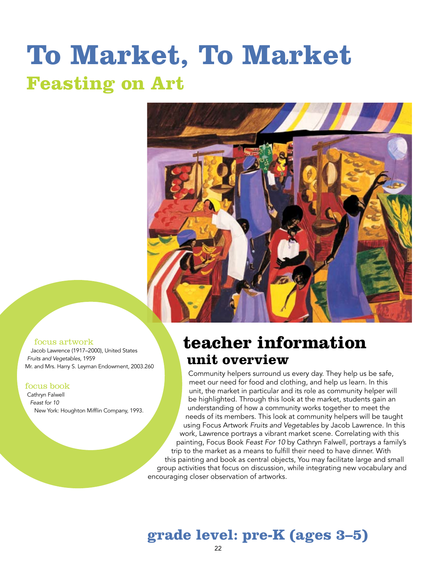# **To Market, To Market Feasting on Art**



#### focus artwork

Jacob Lawrence (1917–2000), United States *Fruits and Vegetables,* 1959 Mr. and Mrs. Harry S. Leyman Endowment, 2003.260

#### focus book

Cathryn Falwell *Feast for 10* New York: Houghton Mifflin Company, 1993.

### **teacher information unit overview**

Community helpers surround us every day. They help us be safe, meet our need for food and clothing, and help us learn. In this unit, the market in particular and its role as community helper will be highlighted. Through this look at the market, students gain an understanding of how a community works together to meet the needs of its members. This look at community helpers will be taught using Focus Artwork *Fruits and Vegetables* by Jacob Lawrence. In this work, Lawrence portrays a vibrant market scene. Correlating with this painting, Focus Book *Feast For 10* by Cathryn Falwell, portrays a family's trip to the market as a means to fulfill their need to have dinner. With this painting and book as central objects, You may facilitate large and small group activities that focus on discussion, while integrating new vocabulary and encouraging closer observation of artworks.

### **grade level: pre-K (ages 3–5)**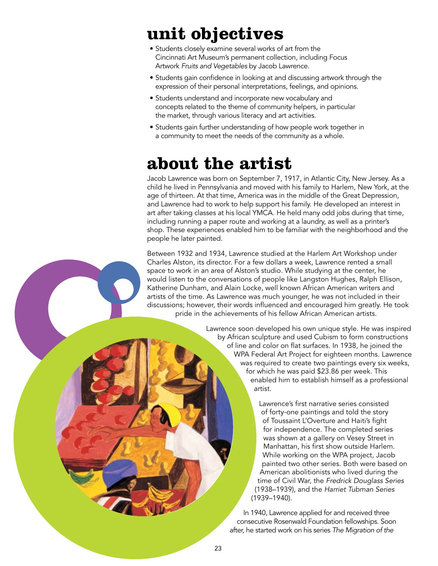# **unit objectives**

- Students closely examine several works of art from the Cincinnati Art Museum's permanent collection, including Focus Artwork *Fruits and Vegetables* by Jacob Lawrence.
- Students gain confidence in looking at and discussing artwork through the expression of their personal interpretations, feelings, and opinions.
- Students understand and incorporate new vocabulary and concepts related to the theme of community helpers, in particular the market, through various literacy and art activities.
- Students gain further understanding of how people work together in a community to meet the needs of the community as a whole.

# **about the artist**

Jacob Lawrence was born on September 7, 1917, in Atlantic City, New Jersey. As a child he lived in Pennsylvania and moved with his family to Harlem, New York, at the age of thirteen. At that time, America was in the middle of the Great Depression, and Lawrence had to work to help support his family. He developed an interest in art after taking classes at his local YMCA. He held many odd jobs during that time, including running a paper route and working at a laundry, as well as a printer's shop. These experiences enabled him to be familiar with the neighborhood and the people he later painted.

Between 1932 and 1934, Lawrence studied at the Harlem Art Workshop under Charles Alston, its director. For a few dollars a week, Lawrence rented a small space to work in an area of Alston's studio. While studying at the center, he would listen to the conversations of people like Langston Hughes, Ralph Ellison, Katherine Dunham, and Alain Locke, well known African American writers and artists of the time. As Lawrence was much younger, he was not included in their discussions; however, their words influenced and encouraged him greatly. He took pride in the achievements of his fellow African American artists.

> Lawrence soon developed his own unique style. He was inspired by African sculpture and used Cubism to form constructions of line and color on flat surfaces. In 1938, he joined the WPA Federal Art Project for eighteen months. Lawrence was required to create two paintings every six weeks, for which he was paid \$23.86 per week. This enabled him to establish himself as a professional artist.

> > Lawrence's first narrative series consisted of forty-one paintings and told the story of Toussaint L'Overture and Haiti's fight for independence*.* The completed series was shown at a gallery on Vesey Street in Manhattan, his first show outside Harlem. While working on the WPA project, Jacob painted two other series. Both were based on American abolitionists who lived during the time of Civil War, the *Fredrick Douglass Series* (1938–1939), and the *Harriet Tubman Series* (1939–1940).

In 1940, Lawrence applied for and received three consecutive Rosenwald Foundation fellowships. Soon after, he started work on his series *The Migration of the*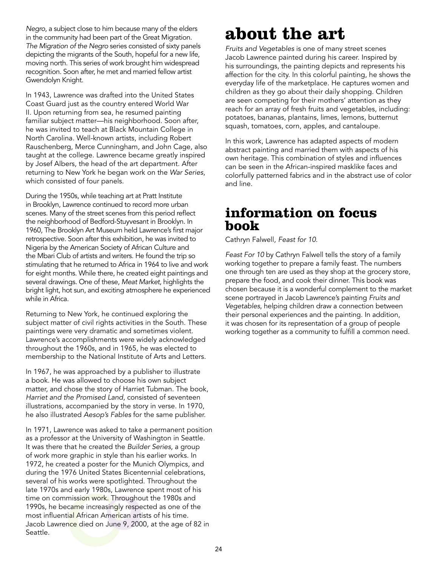*Negro*, a subject close to him because many of the elders in the community had been part of the Great Migration. *The Migration of the Negro* series consisted of sixty panels depicting the migrants of the South, hopeful for a new life, moving north. This series of work brought him widespread recognition. Soon after, he met and married fellow artist Gwendolyn Knight.

In 1943, Lawrence was drafted into the United States Coast Guard just as the country entered World War II. Upon returning from sea, he resumed painting familiar subject matter—his neighborhood. Soon after, he was invited to teach at Black Mountain College in North Carolina. Well-known artists, including Robert Rauschenberg, Merce Cunningham, and John Cage, also taught at the college. Lawrence became greatly inspired by Josef Albers, the head of the art department. After returning to New York he began work on the *War Series*, which consisted of four panels.

During the 1950s, while teaching art at Pratt Institute in Brooklyn, Lawrence continued to record more urban scenes. Many of the street scenes from this period reflect the neighborhood of Bedford-Stuyvesant in Brooklyn. In 1960, The Brooklyn Art Museum held Lawrence's first major retrospective. Soon after this exhibition, he was invited to Nigeria by the American Society of African Culture and the Mbari Club of artists and writers. He found the trip so stimulating that he returned to Africa in 1964 to live and work for eight months. While there, he created eight paintings and several drawings. One of these, *Meat Market*, highlights the bright light, hot sun, and exciting atmosphere he experienced while in Africa.

Returning to New York, he continued exploring the subject matter of civil rights activities in the South. These paintings were very dramatic and sometimes violent. Lawrence's accomplishments were widely acknowledged throughout the 1960s, and in 1965, he was elected to membership to the National Institute of Arts and Letters.

In 1967, he was approached by a publisher to illustrate a book. He was allowed to choose his own subject matter, and chose the story of Harriet Tubman. The book, *Harriet and the Promised Land*, consisted of seventeen illustrations, accompanied by the story in verse. In 1970, he also illustrated *Aesop's Fables* for the same publisher.

In 1971, Lawrence was asked to take a permanent position as a professor at the University of Washington in Seattle. It was there that he created the *Builder Series*, a group of work more graphic in style than his earlier works. In 1972, he created a poster for the Munich Olympics, and during the 1976 United States Bicentennial celebrations, several of his works were spotlighted. Throughout the late 1970s and early 1980s, Lawrence spent most of his time on commission work. Throughout the 1980s and 1990s, he became increasingly respected as one of the most influential African American artists of his time. Jacob Lawrence died on June 9, 2000, at the age of 82 in Seattle.

# **about the art**

*Fruits and Vegetables* is one of many street scenes Jacob Lawrence painted during his career. Inspired by his surroundings, the painting depicts and represents his affection for the city. In this colorful painting, he shows the everyday life of the marketplace. He captures women and children as they go about their daily shopping. Children are seen competing for their mothers' attention as they reach for an array of fresh fruits and vegetables, including: potatoes, bananas, plantains, limes, lemons, butternut squash, tomatoes, corn, apples, and cantaloupe.

In this work, Lawrence has adapted aspects of modern abstract painting and married them with aspects of his own heritage. This combination of styles and influences can be seen in the African-inspired masklike faces and colorfully patterned fabrics and in the abstract use of color and line.

### **information on focus book**

Cathryn Falwell, *Feast for 10*.

*Feast For 10* by Cathryn Falwell tells the story of a family working together to prepare a family feast. The numbers one through ten are used as they shop at the grocery store, prepare the food, and cook their dinner. This book was chosen because it is a wonderful complement to the market scene portrayed in Jacob Lawrence's painting *Fruits and Vegetables*, helping children draw a connection between their personal experiences and the painting. In addition, it was chosen for its representation of a group of people working together as a community to fulfill a common need.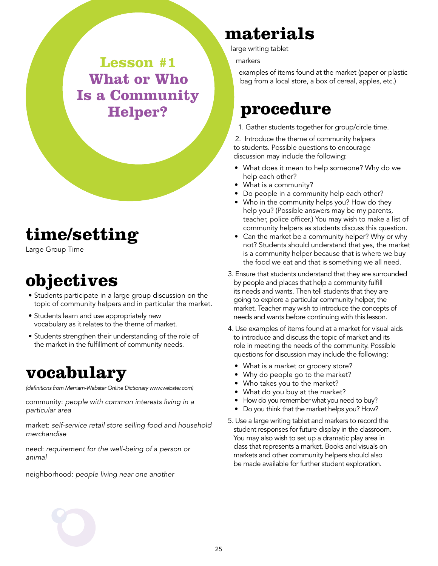**Lesson #1 What or Who Is a Community Helper?**

# **time/setting**

Large Group Time

# **objectives**

- Students participate in a large group discussion on the topic of community helpers and in particular the market.
- Students learn and use appropriately new vocabulary as it relates to the theme of market.
- Students strengthen their understanding of the role of the market in the fulfillment of community needs.

### **vocabulary**

*(definitions from Merriam-Webster Online Dictionary www.webster.com)*

community: *people with common interests living in a particular area*

market: *self-service retail store selling food and household merchandise*

need: *requirement for the well-being of a person or animal*

neighborhood: *people living near one another*

# **materials**

large writing tablet

markers

examples of items found at the market (paper or plastic bag from a local store, a box of cereal, apples, etc.)

### **procedure**

1. Gather students together for group/circle time.

2. Introduce the theme of community helpers to students. Possible questions to encourage discussion may include the following:

- What does it mean to help someone? Why do we help each other?
- What is a community?
- Do people in a community help each other?
- Who in the community helps you? How do they help you? (Possible answers may be my parents, teacher, police officer.) You may wish to make a list of community helpers as students discuss this question.
- Can the market be a community helper? Why or why not? Students should understand that yes, the market is a community helper because that is where we buy the food we eat and that is something we all need.
- 3. Ensure that students understand that they are surrounded by people and places that help a community fulfill its needs and wants. Then tell students that they are going to explore a particular community helper, the market. Teacher may wish to introduce the concepts of needs and wants before continuing with this lesson.
- 4. Use examples of items found at a market for visual aids to introduce and discuss the topic of market and its role in meeting the needs of the community. Possible questions for discussion may include the following:
	- What is a market or grocery store?
	- Why do people go to the market?
	- Who takes you to the market?
	- What do you buy at the market?
	- How do you remember what you need to buy?
	- Do you think that the market helps you? How?
- 5. Use a large writing tablet and markers to record the student responses for future display in the classroom. You may also wish to set up a dramatic play area in class that represents a market. Books and visuals on markets and other community helpers should also be made available for further student exploration.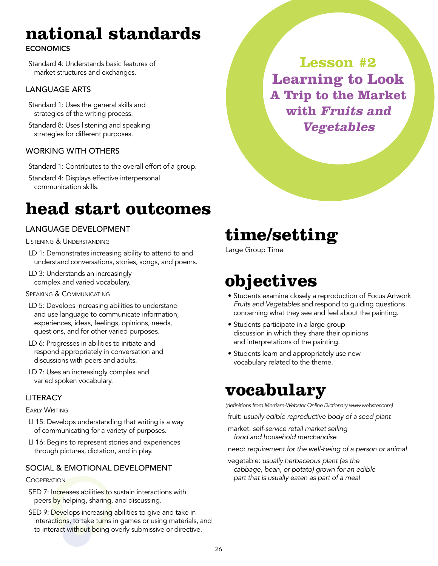# **national standards**

### **ECONOMICS**

Standard 4: Understands basic features of market structures and exchanges.

#### Language Arts

- Standard 1: Uses the general skills and strategies of the writing process.
- Standard 8: Uses listening and speaking strategies for different purposes.

### Working With Others

- Standard 1: Contributes to the overall effort of a group.
- Standard 4: Displays effective interpersonal communication skills.

# **head start outcomes**

### Language Development

Listening & Understanding

- LD 1: Demonstrates increasing ability to attend to and understand conversations, stories, songs, and poems.
- LD 3: Understands an increasingly complex and varied vocabulary.
- SPEAKING & COMMUNICATING
- LD 5: Develops increasing abilities to understand and use language to communicate information, experiences, ideas, feelings, opinions, needs, questions, and for other varied purposes.
- LD 6: Progresses in abilities to initiate and respond appropriately in conversation and discussions with peers and adults.
- LD 7: Uses an increasingly complex and varied spoken vocabulary.

### **LITERACY**

**EARLY WRITING** 

- LI 15: Develops understanding that writing is a way of communicating for a variety of purposes.
- LI 16: Begins to represent stories and experiences through pictures, dictation, and in play.

### Social & Emotional Development

#### **COOPERATION**

- SED 7: Increases abilities to sustain interactions with peers by helping, sharing, and discussing.
- SED 9: Develops increasing abilities to give and take in interactions, to take turns in games or using materials, and to interact without being overly submissive or directive.

**time/setting**

Large Group Time

# **objectives**

- Students examine closely a reproduction of Focus Artwork *Fruits and Vegetables* and respond to guiding questions concerning what they see and feel about the painting.
- Students participate in a large group discussion in which they share their opinions and interpretations of the painting.
- Students learn and appropriately use new vocabulary related to the theme.

# **vocabulary**

*(definitions from Merriam-Webster Online Dictionary www.webster.com)*

fruit: *usually edible reproductive body of a seed plant*

market: *self-service retail market selling food and household merchandise*

need: *requirement for the well-being of a person or animal*

vegetable: *usually herbaceous plant (as the cabbage, bean, or potato) grown for an edible part that is usually eaten as part of a meal*

**Lesson #2 Learning to Look A Trip to the Market with Fruits and Vegetables**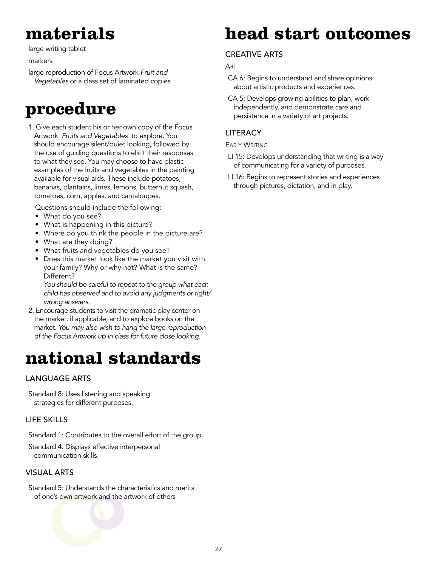# **materials**

large writing tablet

#### markers

large reproduction of Focus Artwork *Fruit and Vegetables* or a class set of laminated copies

### **procedure**

1. Give each student his or her own copy of the Focus Artwork *Fruits and Vegetables* to explore. You should encourage silent/quiet looking, followed by the use of guiding questions to elicit their responses to what they see. You may choose to have plastic examples of the fruits and vegetables in the painting available for visual aids. These include potatoes, bananas, plantains, limes, lemons, butternut squash, tomatoes, corn, apples, and cantaloupes.

Questions should include the following:

- What do you see?
- What is happening in this picture?
- Where do you think the people in the picture are?
- What are they doing?
- What fruits and vegetables do you see?
- Does this market look like the market you visit with your family? Why or why not? What is the same? Different?

*You should be careful to repeat to the group what each child has observed and to avoid any judgments or right/ wrong answers.* 

2. Encourage students to visit the dramatic play center on the market, if applicable, and to explore books on the market. *You may also wish to hang the large reproduction of the Focus Artwork up in class for future close looking.* 

# **national standards**

#### Language Arts

Standard 8: Uses listening and speaking strategies for different purposes.

#### Life Skills

Standard 1: Contributes to the overall effort of the group.

Standard 4: Displays effective interpersonal communication skills.

#### Visual Arts

Standard 5: Understands the characteristics and merits of one's own artwork and the artwork of others

# **head start outcomes**

#### **CREATIVE ARTS**

**ART** 

- CA 6: Begins to understand and share opinions about artistic products and experiences.
- CA 5: Develops growing abilities to plan, work independently, and demonstrate care and persistence in a variety of art projects.

#### **LITERACY**

**EARLY WRITING** 

- LI 15: Develops understanding that writing is a way of communicating for a variety of purposes.
- LI 16: Begins to represent stories and experiences through pictures, dictation, and in play.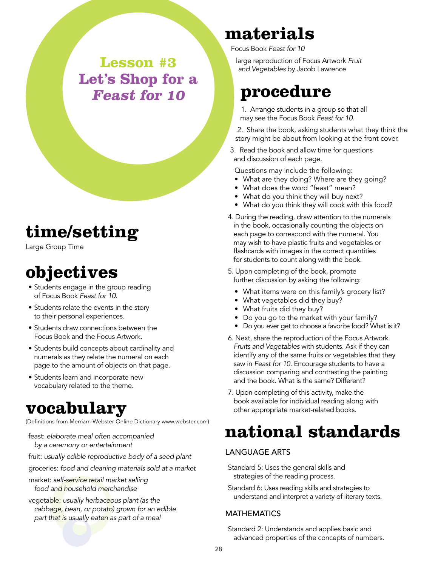**Lesson #3 Let's Shop for a Feast for 10**

### **time/setting**

Large Group Time

# **objectives**

- Students engage in the group reading of Focus Book *Feast for 10*.
- Students relate the events in the story to their personal experiences.
- Students draw connections between the Focus Book and the Focus Artwork.
- Students build concepts about cardinality and numerals as they relate the numeral on each page to the amount of objects on that page.
- Students learn and incorporate new vocabulary related to the theme.

### **vocabulary**

(Definitions from Merriam-Webster Online Dictionary www.webster.com)

- feast: *elaborate meal often accompanied by a ceremony or entertainment*
- fruit: *usually edible reproductive body of a seed plant*
- groceries: *food and cleaning materials sold at a market*
- market: *self-service retail market selling food and household merchandise*
- vegetable: *usually herbaceous plant (as the cabbage, bean, or potato) grown for an edible part that is usually eaten as part of a meal*

# **materials**

Focus Book *Feast for 10*

large reproduction of Focus Artwork *Fruit and Vegetables* by Jacob Lawrence

## **procedure**

1. Arrange students in a group so that all may see the Focus Book *Feast for 10.*

- 2. Share the book, asking students what they think the story might be about from looking at the front cover.
- 3. Read the book and allow time for questions and discussion of each page.

Questions may include the following:

- What are they doing? Where are they going?
- What does the word "feast" mean?
- What do you think they will buy next?
- What do you think they will cook with this food?
- 4. During the reading, draw attention to the numerals in the book, occasionally counting the objects on each page to correspond with the numeral. You may wish to have plastic fruits and vegetables or flashcards with images in the correct quantities for students to count along with the book.
- 5. Upon completing of the book, promote further discussion by asking the following:
	- What items were on this family's grocery list?
	- What vegetables did they buy?
	- What fruits did they buy?
	- Do you go to the market with your family?
	- Do you ever get to choose a favorite food? What is it?
- 6. Next, share the reproduction of the Focus Artwork *Fruits and Vegetables* with students. Ask if they can identify any of the same fruits or vegetables that they saw in *Feast for 10*. Encourage students to have a discussion comparing and contrasting the painting and the book. What is the same? Different?
- 7. Upon completing of this activity, make the book available for individual reading along with other appropriate market-related books.

# **national standards**

#### Language Arts

Standard 5: Uses the general skills and strategies of the reading process.

Standard 6: Uses reading skills and strategies to understand and interpret a variety of literary texts.

#### **MATHEMATICS**

Standard 2: Understands and applies basic and advanced properties of the concepts of numbers.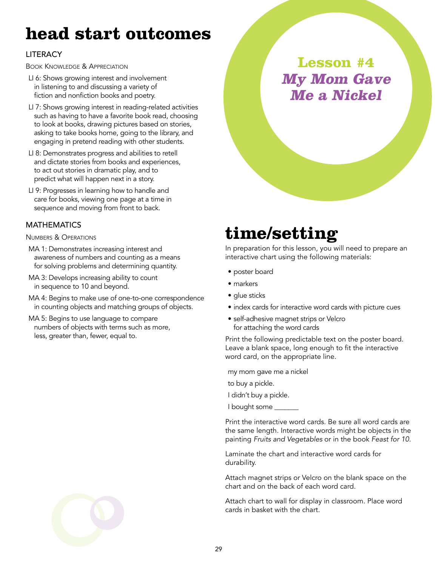# **head start outcomes**

### **LITERACY**

Book Knowledge & Appreciation

- LI 6: Shows growing interest and involvement in listening to and discussing a variety of fiction and nonfiction books and poetry.
- LI 7: Shows growing interest in reading-related activities such as having to have a favorite book read, choosing to look at books, drawing pictures based on stories, asking to take books home, going to the library, and engaging in pretend reading with other students.
- LI 8: Demonstrates progress and abilities to retell and dictate stories from books and experiences, to act out stories in dramatic play, and to predict what will happen next in a story.
- LI 9: Progresses in learning how to handle and care for books, viewing one page at a time in sequence and moving from front to back.

#### **MATHEMATICS**

Numbers & Operations

- MA 1: Demonstrates increasing interest and awareness of numbers and counting as a means for solving problems and determining quantity.
- MA 3: Develops increasing ability to count in sequence to 10 and beyond.
- MA 4: Begins to make use of one-to-one correspondence in counting objects and matching groups of objects.
- MA 5: Begins to use language to compare numbers of objects with terms such as more, less, greater than, fewer, equal to.

### **Lesson #4 My Mom Gave Me a Nickel**

# **time/setting**

In preparation for this lesson, you will need to prepare an interactive chart using the following materials:

- poster board
- markers
- glue sticks
- index cards for interactive word cards with picture cues
- self-adhesive magnet strips or Velcro for attaching the word cards

Print the following predictable text on the poster board. Leave a blank space, long enough to fit the interactive word card, on the appropriate line.

my mom gave me a nickel

to buy a pickle.

I didn't buy a pickle.

I bought some \_\_\_\_\_

Print the interactive word cards. Be sure all word cards are the same length. Interactive words might be objects in the painting *Fruits and Vegetables* or in the book *Feast for 10.*

Laminate the chart and interactive word cards for durability.

Attach magnet strips or Velcro on the blank space on the chart and on the back of each word card.

Attach chart to wall for display in classroom. Place word cards in basket with the chart.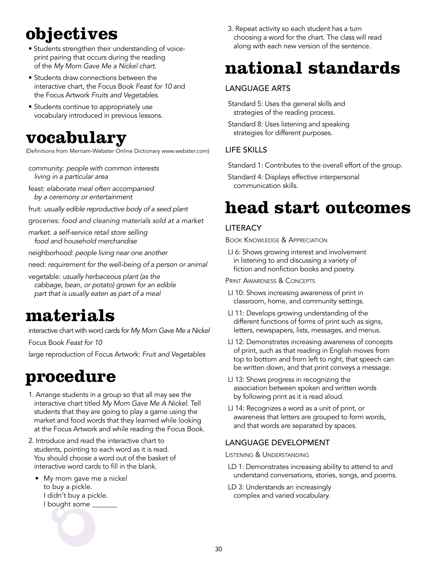# **objectives**

- Students strengthen their understanding of voiceprint pairing that occurs during the reading of the *My Mom Gave Me a Nickel chart*.
- Students draw connections between the interactive chart, the Focus Book *Feast for 10* and the Focus Artwork *Fruits and Vegetables.*
- Students continue to appropriately use vocabulary introduced in previous lessons.

### **vocabulary**

(Definitions from Merriam-Webster Online Dictionary www.webster.com)

- community: *people with common interests living in a particular area*
- feast: *elaborate meal often accompanied by a ceremony or entertainment*
- fruit: *usually edible reproductive body of a seed plant*
- groceries: *food and cleaning materials sold at a market*

market: *a self-service retail store selling food and household merchandise*

neighborhood: *people living near one another*

- need: *requirement for the well-being of a person or animal*
- vegetable: *usually herbaceous plant (as the cabbage, bean, or potato) grown for an edible part that is usually eaten as part of a meal*

# **materials**

interactive chart with word cards for *My Mom Gave Me a Nickel*

Focus Book *Feast for 10*

large reproduction of Focus Artwork: *Fruit and Vegetables*

# **procedure**

- 1. Arrange students in a group so that all may see the interactive chart titled *My Mom Gave Me A Nickel.* Tell students that they are going to play a game using the market and food words that they learned while looking at the Focus Artwork and while reading the Focus Book.
- 2. Introduce and read the interactive chart to students, pointing to each word as it is read. You should choose a word out of the basket of interactive word cards to fill in the blank.
	- My mom gave me a nickel to buy a pickle. I didn't buy a pickle. I bought some \_\_\_\_\_\_\_

3. Repeat activity so each student has a turn choosing a word for the chart. The class will read along with each new version of the sentence.

# **national standards**

### Language Arts

Standard 5: Uses the general skills and strategies of the reading process.

Standard 8: Uses listening and speaking strategies for different purposes.

### Life Skills

Standard 1: Contributes to the overall effort of the group.

Standard 4: Displays effective interpersonal communication skills.

### **head start outcomes**

### **LITERACY**

Book Knowledge & Appreciation

LI 6: Shows growing interest and involvement in listening to and discussing a variety of fiction and nonfiction books and poetry.

PRINT AWARENESS & CONCEPTS

- LI 10: Shows increasing awareness of print in classroom, home, and community settings.
- LI 11: Develops growing understanding of the different functions of forms of print such as signs, letters, newspapers, lists, messages, and menus.
- LI 12: Demonstrates increasing awareness of concepts of print, such as that reading in English moves from top to bottom and from left to right, that speech can be written down, and that print conveys a message.
- LI 13: Shows progress in recognizing the association between spoken and written words by following print as it is read aloud.
- LI 14: Recognizes a word as a unit of print, or awareness that letters are grouped to form words, and that words are separated by spaces.

### Language Development

Listening & Understanding

- LD 1: Demonstrates increasing ability to attend to and understand conversations, stories, songs, and poems.
- LD 3: Understands an increasingly complex and varied vocabulary.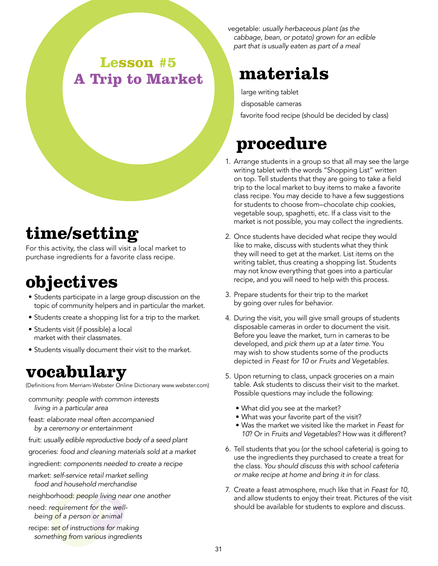### **Lesson #5 A Trip to Market**

# **time/setting**

For this activity, the class will visit a local market to purchase ingredients for a favorite class recipe.

# **objectives**

- Students participate in a large group discussion on the topic of community helpers and in particular the market.
- Students create a shopping list for a trip to the market.
- Students visit (if possible) a local market with their classmates.
- Students visually document their visit to the market.

### **vocabulary**

(Definitions from Merriam-Webster Online Dictionary www.webster.com)

community: *people with common interests living in a particular area*

feast: *elaborate meal often accompanied by a ceremony or entertainment*

fruit: *usually edible reproductive body of a seed plant*

groceries: *food and cleaning materials sold at a market*

- ingredient: *components needed to create a recipe*
- market: *self-service retail market selling food and household merchandise*
- neighborhood: *people living near one another*

need: *requirement for the wellbeing of a person or animal*

recipe: *set of instructions for making something from various ingredients* vegetable: *usually herbaceous plant (as the cabbage, bean, or potato) grown for an edible part that is usually eaten as part of a meal*

# **materials**

large writing tablet disposable cameras

favorite food recipe (should be decided by class)

# **procedure**

- 1. Arrange students in a group so that all may see the large writing tablet with the words "Shopping List" written on top. Tell students that they are going to take a field trip to the local market to buy items to make a favorite class recipe. You may decide to have a few suggestions for students to choose from–chocolate chip cookies, vegetable soup, spaghetti, etc. If a class visit to the market is not possible, you may collect the ingredients.
- 2. Once students have decided what recipe they would like to make, discuss with students what they think they will need to get at the market. List items on the writing tablet, thus creating a shopping list. Students may not know everything that goes into a particular recipe, and you will need to help with this process.
- 3. Prepare students for their trip to the market by going over rules for behavior.
- 4. During the visit, you will give small groups of students disposable cameras in order to document the visit. Before you leave the market, turn in cameras to be developed, and *pick them up at a later time.* You may wish to show students some of the products depicted in *Feast for 10* or *Fruits and Vegetables.*
- 5. Upon returning to class, unpack groceries on a main table. Ask students to discuss their visit to the market. Possible questions may include the following:
	- What did you see at the market?
	- What was your favorite part of the visit?
	- Was the market we visited like the market in *Feast for 10*? Or in *Fruits and Vegetables*? How was it different?
- 6. Tell students that you (or the school cafeteria) is going to use the ingredients they purchased to create a treat for the class. *You should discuss this with school cafeteria or make recipe at home and bring it in for class.*
- 7. Create a feast atmosphere, much like that in *Feast for 10,* and allow students to enjoy their treat. Pictures of the visit should be available for students to explore and discuss.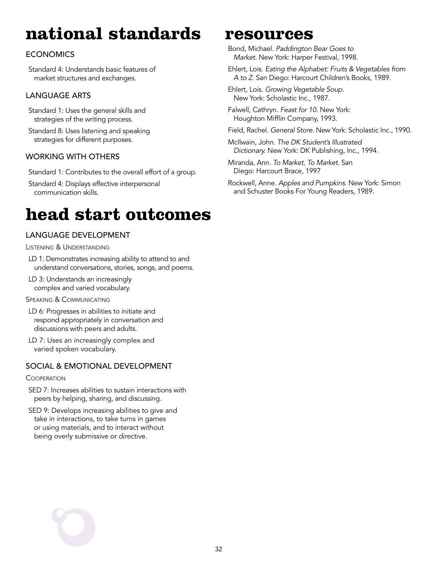# **national standards**

### **ECONOMICS**

Standard 4: Understands basic features of market structures and exchanges.

### Language Arts

Standard 1: Uses the general skills and strategies of the writing process.

Standard 8: Uses listening and speaking strategies for different purposes.

### Working With Others

Standard 1: Contributes to the overall effort of a group.

Standard 4: Displays effective interpersonal communication skills.

### **head start outcomes**

### Language Development

Listening & Understanding

- LD 1: Demonstrates increasing ability to attend to and understand conversations, stories, songs, and poems.
- LD 3: Understands an increasingly complex and varied vocabulary.

#### SPEAKING & COMMUNICATING

- LD 6: Progresses in abilities to initiate and respond appropriately in conversation and discussions with peers and adults.
- LD 7: Uses an increasingly complex and varied spoken vocabulary.

#### Social & Emotional Development

#### **COOPERATION**

SED 7: Increases abilities to sustain interactions with peers by helping, sharing, and discussing.

SED 9: Develops increasing abilities to give and take in interactions, to take turns in games or using materials, and to interact without being overly submissive or directive.

### **resources**

Bond, Michael. *Paddington Bear Goes to Market.* New York: Harper Festival, 1998.

Ehlert, Lois. *Eating the Alphabet: Fruits & Vegetables from A to Z*. San Diego: Harcourt Children's Books, 1989.

Ehlert, Lois. *Growing Vegetable Soup*. New York: Scholastic Inc., 1987.

Falwell, Cathryn. *Feast for 10.* New York: Houghton Mifflin Company, 1993.

Field, Rachel. *General Store.* New York: Scholastic Inc., 1990.

McIlwain, John. *The DK Student's Illustrated Dictionary.* New York: DK Publishing, Inc., 1994.

Miranda, Ann. *To Market, To Market.* San Diego: Harcourt Brace, 1997

Rockwell, Anne. *Apples and Pumpkins.* New York: Simon and Schuster Books For Young Readers, 1989.

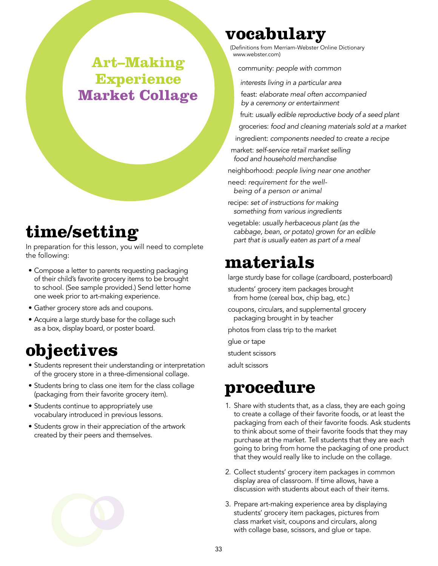### **Art–Making Experience Market Collage**

# **time/setting**

In preparation for this lesson, you will need to complete the following:

- Compose a letter to parents requesting packaging of their child's favorite grocery items to be brought to school. (See sample provided.) Send letter home one week prior to art-making experience.
- Gather grocery store ads and coupons.
- Acquire a large sturdy base for the collage such as a box, display board, or poster board.

# **objectives**

- Students represent their understanding or interpretation of the grocery store in a three-dimensional collage.
- Students bring to class one item for the class collage (packaging from their favorite grocery item).
- Students continue to appropriately use vocabulary introduced in previous lessons.
- Students grow in their appreciation of the artwork created by their peers and themselves.

# **vocabulary**

(Definitions from Merriam-Webster Online Dictionary www.webster.com)

community: *people with common* 

*interests living in a particular area*

feast: *elaborate meal often accompanied by a ceremony or entertainment*

fruit: *usually edible reproductive body of a seed plant*

groceries: *food and cleaning materials sold at a market*

ingredient: *components needed to create a recipe*

market: *self-service retail market selling food and household merchandise*

neighborhood: *people living near one another*

need: *requirement for the wellbeing of a person or animal*

recipe: *set of instructions for making something from various ingredients*

vegetable: *usually herbaceous plant (as the cabbage, bean, or potato) grown for an edible part that is usually eaten as part of a meal*

### **materials**

large sturdy base for collage (cardboard, posterboard)

students' grocery item packages brought from home (cereal box, chip bag, etc.)

coupons, circulars, and supplemental grocery packaging brought in by teacher

photos from class trip to the market

glue or tape

student scissors

adult scissors

## **procedure**

- 1. Share with students that, as a class, they are each going to create a collage of their favorite foods, or at least the packaging from each of their favorite foods. Ask students to think about some of their favorite foods that they may purchase at the market. Tell students that they are each going to bring from home the packaging of one product that they would really like to include on the collage.
- 2. Collect students' grocery item packages in common display area of classroom. If time allows, have a discussion with students about each of their items.
- 3. Prepare art-making experience area by displaying students' grocery item packages, pictures from class market visit, coupons and circulars, along with collage base, scissors, and glue or tape.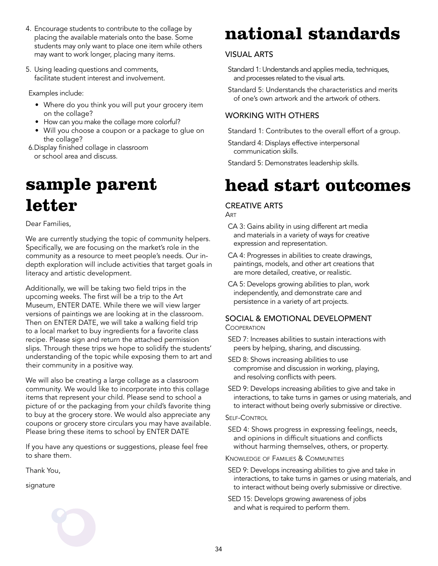- 4. Encourage students to contribute to the collage by placing the available materials onto the base. Some students may only want to place one item while others may want to work longer, placing many items.
- 5. Using leading questions and comments, facilitate student interest and involvement.

Examples include:

- Where do you think you will put your grocery item on the collage?
- How can you make the collage more colorful?
- Will you choose a coupon or a package to glue on the collage?
- 6.Display finished collage in classroom or school area and discuss.

# **sample parent letter**

Dear Families,

We are currently studying the topic of community helpers. Specifically, we are focusing on the market's role in the community as a resource to meet people's needs. Our indepth exploration will include activities that target goals in literacy and artistic development.

Additionally, we will be taking two field trips in the upcoming weeks. The first will be a trip to the Art Museum, ENTER DATE. While there we will view larger versions of paintings we are looking at in the classroom. Then on ENTER DATE, we will take a walking field trip to a local market to buy ingredients for a favorite class recipe. Please sign and return the attached permission slips. Through these trips we hope to solidify the students' understanding of the topic while exposing them to art and their community in a positive way.

We will also be creating a large collage as a classroom community. We would like to incorporate into this collage items that represent your child. Please send to school a picture of or the packaging from your child's favorite thing to buy at the grocery store. We would also appreciate any coupons or grocery store circulars you may have available. Please bring these items to school by ENTER DATE

If you have any questions or suggestions, please feel free to share them.

Thank You,

signature

# **national standards**

### Visual Arts

- Standard 1: Understands and applies media, techniques, and processes related to the visual arts.
- Standard 5: Understands the characteristics and merits of one's own artwork and the artwork of others.

### Working With Others

Standard 1: Contributes to the overall effort of a group.

Standard 4: Displays effective interpersonal communication skills.

Standard 5: Demonstrates leadership skills.

# **head start outcomes**

### Creative Arts

Art

- CA 3: Gains ability in using different art media and materials in a variety of ways for creative expression and representation.
- CA 4: Progresses in abilities to create drawings, paintings, models, and other art creations that are more detailed, creative, or realistic.
- CA 5: Develops growing abilities to plan, work independently, and demonstrate care and persistence in a variety of art projects.

#### Social & Emotional Development **COOPERATION**

- SED 7: Increases abilities to sustain interactions with peers by helping, sharing, and discussing.
- SED 8: Shows increasing abilities to use compromise and discussion in working, playing, and resolving conflicts with peers.
- SED 9: Develops increasing abilities to give and take in interactions, to take turns in games or using materials, and to interact without being overly submissive or directive.

#### Self-Control

SED 4: Shows progress in expressing feelings, needs, and opinions in difficult situations and conflicts without harming themselves, others, or property.

Knowledge of Families & Communities

- SED 9: Develops increasing abilities to give and take in interactions, to take turns in games or using materials, and to interact without being overly submissive or directive.
- SED 15: Develops growing awareness of jobs and what is required to perform them.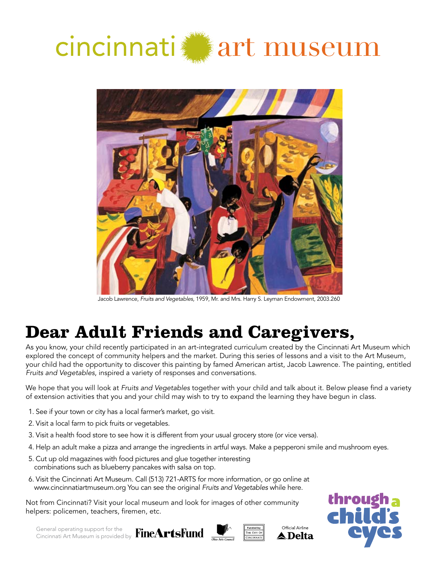# cincinnati art museum



Jacob Lawrence, *Fruits and Vegetables,* 1959, Mr. and Mrs. Harry S. Leyman Endowment, 2003.260

# **Dear Adult Friends and Caregivers,**

As you know, your child recently participated in an art-integrated curriculum created by the Cincinnati Art Museum which explored the concept of community helpers and the market. During this series of lessons and a visit to the Art Museum, your child had the opportunity to discover this painting by famed American artist, Jacob Lawrence. The painting, entitled *Fruits and Vegetables*, inspired a variety of responses and conversations.

We hope that you will look at *Fruits and Vegetables* together with your child and talk about it. Below please find a variety of extension activities that you and your child may wish to try to expand the learning they have begun in class.

- 1. See if your town or city has a local farmer's market, go visit.
- 2. Visit a local farm to pick fruits or vegetables.
- 3. Visit a health food store to see how it is different from your usual grocery store (or vice versa).
- 4. Help an adult make a pizza and arrange the ingredients in artful ways. Make a pepperoni smile and mushroom eyes.
- 5. Cut up old magazines with food pictures and glue together interesting combinations such as blueberry pancakes with salsa on top.
- 6. Visit the Cincinnati Art Museum. Call (513) 721-ARTS for more information, or go online at www.cincinnatiartmuseum.org You can see the original *Fruits and Vegetables* while here.

Not from Cincinnati? Visit your local museum and look for images of other community helpers: policemen, teachers, firemen, etc.



General operating support for the Cincinnati Art Museum is provided by



Official Airline ▲ Delta